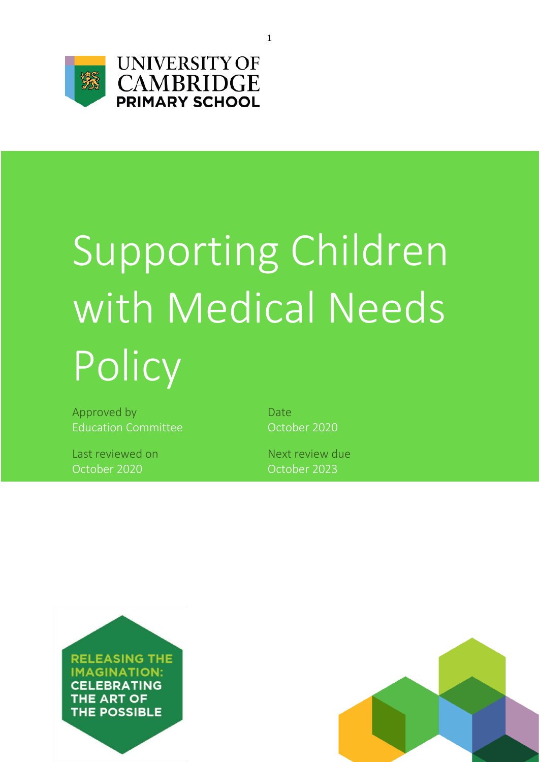

**UNIVERSITY OF CAMBRIDGE**<br>PRIMARY SCHOOL

# Supporting Children with Medical Needs **Policy**

Approved by Date Education Committee **Canadia** Correct Control Control Control Control Correct Correct Control Control Control Co

Last reviewed on Next review due October 2020 October 2023



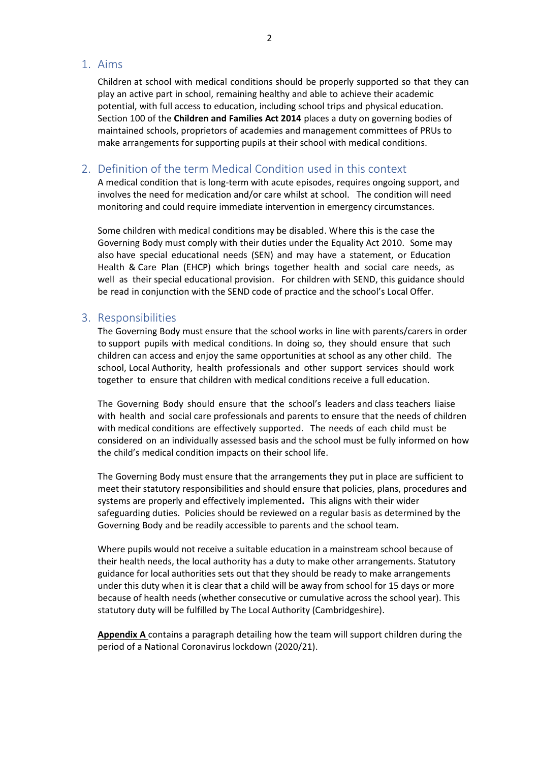# 1. Aims

Children at school with medical conditions should be properly supported so that they can play an active part in school, remaining healthy and able to achieve their academic potential, with full access to education, including school trips and physical education. Section 100 of the **Children and Families Act 2014** places a duty on governing bodies of maintained schools, proprietors of academies and management committees of PRUs to make arrangements for supporting pupils at their school with medical conditions.

# 2. Definition of the term Medical Condition used in this context

A medical condition that is long-term with acute episodes, requires ongoing support, and involves the need for medication and/or care whilst at school. The condition will need monitoring and could require immediate intervention in emergency circumstances.

Some children with medical conditions may be disabled. Where this is the case the Governing Body must comply with their duties under the Equality Act 2010. Some may also have special educational needs (SEN) and may have a statement, or Education Health & Care Plan (EHCP) which brings together health and social care needs, as well as their special educational provision. For children with SEND, this guidance should be read in conjunction with the SEND code of practice and the school's Local Offer.

## 3. Responsibilities

The Governing Body must ensure that the school works in line with parents/carers in order to support pupils with medical conditions. In doing so, they should ensure that such children can access and enjoy the same opportunities at school as any other child. The school, Local Authority, health professionals and other support services should work together to ensure that children with medical conditions receive a full education.

The Governing Body should ensure that the school's leaders and class teachers liaise with health and social care professionals and parents to ensure that the needs of children with medical conditions are effectively supported. The needs of each child must be considered on an individually assessed basis and the school must be fully informed on how the child's medical condition impacts on their school life.

The Governing Body must ensure that the arrangements they put in place are sufficient to meet their statutory responsibilities and should ensure that policies, plans, procedures and systems are properly and effectively implemented**.** This aligns with their wider safeguarding duties. Policies should be reviewed on a regular basis as determined by the Governing Body and be readily accessible to parents and the school team.

Where pupils would not receive a suitable education in a mainstream school because of their health needs, the local authority has a duty to make other arrangements. Statutory guidance for local authorities sets out that they should be ready to make arrangements under this duty when it is clear that a child will be away from school for 15 days or more because of health needs (whether consecutive or cumulative across the school year). This statutory duty will be fulfilled by The Local Authority (Cambridgeshire).

**Appendix A** contains a paragraph detailing how the team will support children during the period of a National Coronavirus lockdown (2020/21).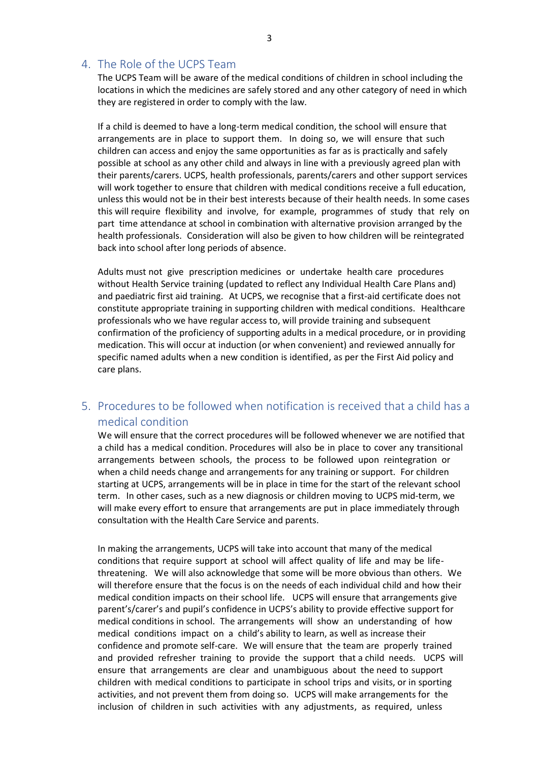# 4. The Role of the UCPS Team

The UCPS Team will be aware of the medical conditions of children in school including the locations in which the medicines are safely stored and any other category of need in which they are registered in order to comply with the law.

If a child is deemed to have a long-term medical condition, the school will ensure that arrangements are in place to support them. In doing so, we will ensure that such children can access and enjoy the same opportunities as far as is practically and safely possible at school as any other child and always in line with a previously agreed plan with their parents/carers. UCPS, health professionals, parents/carers and other support services will work together to ensure that children with medical conditions receive a full education, unless this would not be in their best interests because of their health needs. In some cases this will require flexibility and involve, for example, programmes of study that rely on part time attendance at school in combination with alternative provision arranged by the health professionals. Consideration will also be given to how children will be reintegrated back into school after long periods of absence.

Adults must not give prescription medicines or undertake health care procedures without Health Service training (updated to reflect any Individual Health Care Plans and) and paediatric first aid training. At UCPS, we recognise that a first-aid certificate does not constitute appropriate training in supporting children with medical conditions. Healthcare professionals who we have regular access to, will provide training and subsequent confirmation of the proficiency of supporting adults in a medical procedure, or in providing medication. This will occur at induction (or when convenient) and reviewed annually for specific named adults when a new condition is identified, as per the First Aid policy and care plans.

# 5. Procedures to be followed when notification is received that a child has a medical condition

We will ensure that the correct procedures will be followed whenever we are notified that a child has a medical condition. Procedures will also be in place to cover any transitional arrangements between schools, the process to be followed upon reintegration or when a child needs change and arrangements for any training or support. For children starting at UCPS, arrangements will be in place in time for the start of the relevant school term. In other cases, such as a new diagnosis or children moving to UCPS mid-term, we will make every effort to ensure that arrangements are put in place immediately through consultation with the Health Care Service and parents.

In making the arrangements, UCPS will take into account that many of the medical conditions that require support at school will affect quality of life and may be lifethreatening. We will also acknowledge that some will be more obvious than others. We will therefore ensure that the focus is on the needs of each individual child and how their medical condition impacts on their school life. UCPS will ensure that arrangements give parent's/carer's and pupil's confidence in UCPS's ability to provide effective support for medical conditions in school. The arrangements will show an understanding of how medical conditions impact on a child's ability to learn, as well as increase their confidence and promote self-care. We will ensure that the team are properly trained and provided refresher training to provide the support that a child needs. UCPS will ensure that arrangements are clear and unambiguous about the need to support children with medical conditions to participate in school trips and visits, or in sporting activities, and not prevent them from doing so. UCPS will make arrangements for the inclusion of children in such activities with any adjustments, as required, unless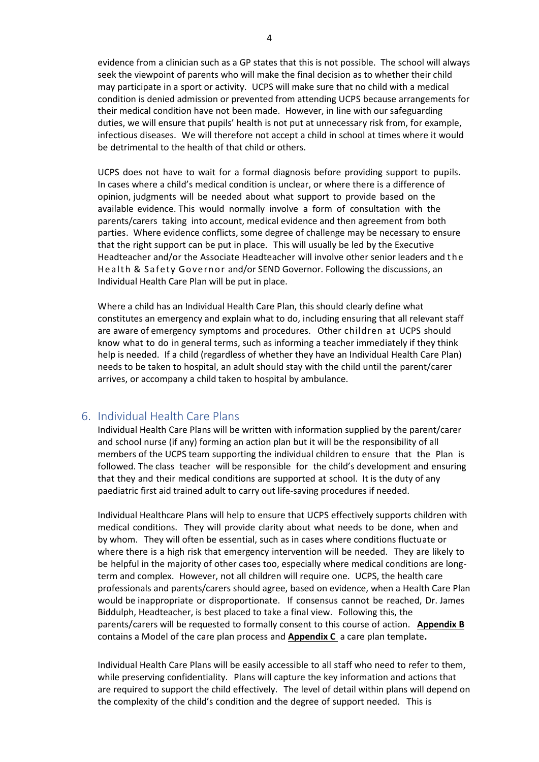evidence from a clinician such as a GP states that this is not possible. The school will always seek the viewpoint of parents who will make the final decision as to whether their child may participate in a sport or activity. UCPS will make sure that no child with a medical condition is denied admission or prevented from attending UCPS because arrangements for their medical condition have not been made. However, in line with our safeguarding duties, we will ensure that pupils' health is not put at unnecessary risk from, for example, infectious diseases. We will therefore not accept a child in school at times where it would be detrimental to the health of that child or others.

UCPS does not have to wait for a formal diagnosis before providing support to pupils. In cases where a child's medical condition is unclear, or where there is a difference of opinion, judgments will be needed about what support to provide based on the available evidence. This would normally involve a form of consultation with the parents/carers taking into account, medical evidence and then agreement from both parties. Where evidence conflicts, some degree of challenge may be necessary to ensure that the right support can be put in place. This will usually be led by the Executive Headteacher and/or the Associate Headteacher will involve other senior leaders and the Health & Safety Governor and/or SEND Governor. Following the discussions, an Individual Health Care Plan will be put in place.

Where a child has an Individual Health Care Plan, this should clearly define what constitutes an emergency and explain what to do, including ensuring that all relevant staff are aware of emergency symptoms and procedures. Other children at UCPS should know what to do in general terms, such as informing a teacher immediately if they think help is needed. If a child (regardless of whether they have an Individual Health Care Plan) needs to be taken to hospital, an adult should stay with the child until the parent/carer arrives, or accompany a child taken to hospital by ambulance.

## 6. Individual Health Care Plans

Individual Health Care Plans will be written with information supplied by the parent/carer and school nurse (if any) forming an action plan but it will be the responsibility of all members of the UCPS team supporting the individual children to ensure that the Plan is followed. The class teacher will be responsible for the child's development and ensuring that they and their medical conditions are supported at school. It is the duty of any paediatric first aid trained adult to carry out life-saving procedures if needed.

Individual Healthcare Plans will help to ensure that UCPS effectively supports children with medical conditions. They will provide clarity about what needs to be done, when and by whom. They will often be essential, such as in cases where conditions fluctuate or where there is a high risk that emergency intervention will be needed. They are likely to be helpful in the majority of other cases too, especially where medical conditions are longterm and complex. However, not all children will require one. UCPS, the health care professionals and parents/carers should agree, based on evidence, when a Health Care Plan would be inappropriate or disproportionate. If consensus cannot be reached, Dr. James Biddulph, Headteacher, is best placed to take a final view. Following this, the parents/carers will be requested to formally consent to this course of action. **Appendix B** contains a Model of the care plan process and **Appendix C** a care plan template**.**

Individual Health Care Plans will be easily accessible to all staff who need to refer to them, while preserving confidentiality. Plans will capture the key information and actions that are required to support the child effectively. The level of detail within plans will depend on the complexity of the child's condition and the degree of support needed. This is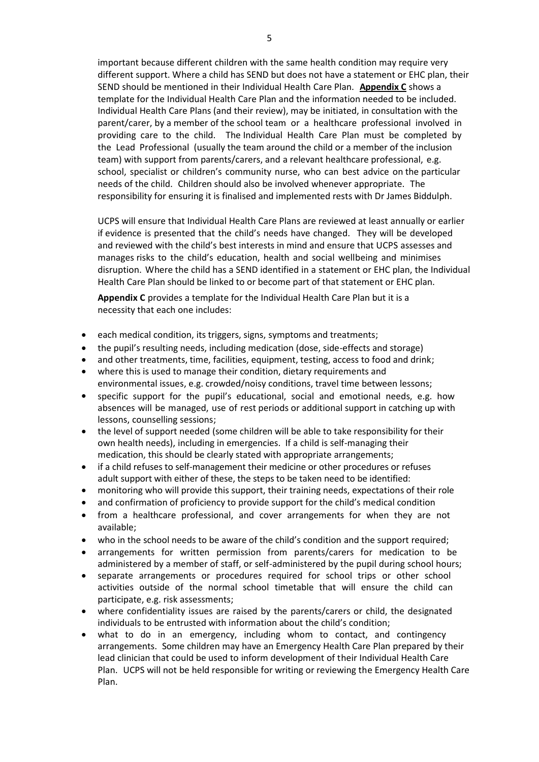important because different children with the same health condition may require very different support. Where a child has SEND but does not have a statement or EHC plan, their SEND should be mentioned in their Individual Health Care Plan. **Appendix C** shows a template for the Individual Health Care Plan and the information needed to be included. Individual Health Care Plans (and their review), may be initiated, in consultation with the parent/carer, by a member of the school team or a healthcare professional involved in providing care to the child. The Individual Health Care Plan must be completed by the Lead Professional (usually the team around the child or a member of the inclusion team) with support from parents/carers, and a relevant healthcare professional, e.g. school, specialist or children's community nurse, who can best advice on the particular needs of the child. Children should also be involved whenever appropriate. The responsibility for ensuring it is finalised and implemented rests with Dr James Biddulph.

UCPS will ensure that Individual Health Care Plans are reviewed at least annually or earlier if evidence is presented that the child's needs have changed. They will be developed and reviewed with the child's best interests in mind and ensure that UCPS assesses and manages risks to the child's education, health and social wellbeing and minimises disruption. Where the child has a SEND identified in a statement or EHC plan, the Individual Health Care Plan should be linked to or become part of that statement or EHC plan.

**Appendix C** provides a template for the Individual Health Care Plan but it is a necessity that each one includes:

- each medical condition, its triggers, signs, symptoms and treatments;
- the pupil's resulting needs, including medication (dose, side-effects and storage)
- and other treatments, time, facilities, equipment, testing, access to food and drink;
- where this is used to manage their condition, dietary requirements and environmental issues, e.g. crowded/noisy conditions, travel time between lessons;
- specific support for the pupil's educational, social and emotional needs, e.g. how absences will be managed, use of rest periods or additional support in catching up with lessons, counselling sessions;
- the level of support needed (some children will be able to take responsibility for their own health needs), including in emergencies. If a child is self-managing their medication, this should be clearly stated with appropriate arrangements;
- if a child refuses to self-management their medicine or other procedures or refuses adult support with either of these, the steps to be taken need to be identified:
- monitoring who will provide this support, their training needs, expectations of their role
- and confirmation of proficiency to provide support for the child's medical condition
- from a healthcare professional, and cover arrangements for when they are not available;
- who in the school needs to be aware of the child's condition and the support required;
- arrangements for written permission from parents/carers for medication to be administered by a member of staff, or self-administered by the pupil during school hours;
- separate arrangements or procedures required for school trips or other school activities outside of the normal school timetable that will ensure the child can participate, e.g. risk assessments;
- where confidentiality issues are raised by the parents/carers or child, the designated individuals to be entrusted with information about the child's condition;
- what to do in an emergency, including whom to contact, and contingency arrangements. Some children may have an Emergency Health Care Plan prepared by their lead clinician that could be used to inform development of their Individual Health Care Plan. UCPS will not be held responsible for writing or reviewing the Emergency Health Care Plan.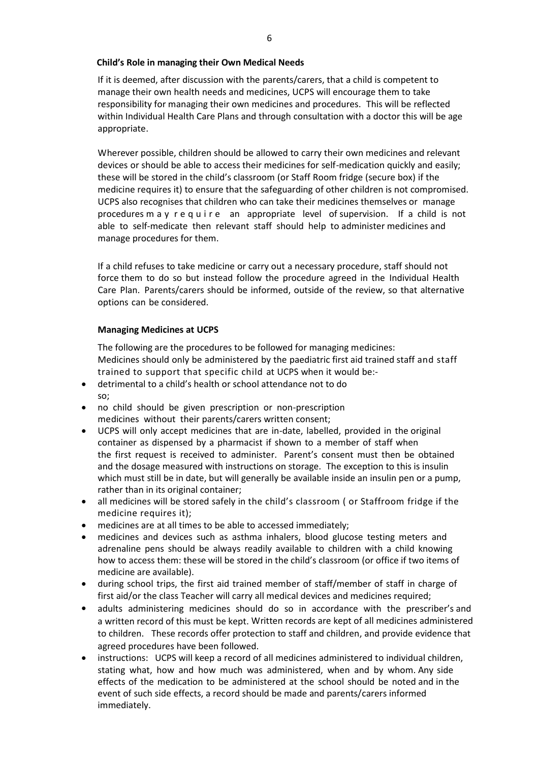#### **Child's Role in managing their Own Medical Needs**

If it is deemed, after discussion with the parents/carers, that a child is competent to manage their own health needs and medicines, UCPS will encourage them to take responsibility for managing their own medicines and procedures. This will be reflected within Individual Health Care Plans and through consultation with a doctor this will be age appropriate.

Wherever possible, children should be allowed to carry their own medicines and relevant devices or should be able to access their medicines for self-medication quickly and easily; these will be stored in the child's classroom (or Staff Room fridge (secure box) if the medicine requires it) to ensure that the safeguarding of other children is not compromised. UCPS also recognises that children who can take their medicines themselves or manage procedures m a y r e q u i r e an appropriate level of supervision. If a child is not able to self-medicate then relevant staff should help to administer medicines and manage procedures for them.

If a child refuses to take medicine or carry out a necessary procedure, staff should not force them to do so but instead follow the procedure agreed in the Individual Health Care Plan. Parents/carers should be informed, outside of the review, so that alternative options can be considered.

#### **Managing Medicines at UCPS**

The following are the procedures to be followed for managing medicines: Medicines should only be administered by the paediatric first aid trained staff and staff trained to support that specific child at UCPS when it would be:-

- detrimental to a child's health or school attendance not to do so;
- no child should be given prescription or non-prescription medicines without their parents/carers written consent;
- UCPS will only accept medicines that are in-date, labelled, provided in the original container as dispensed by a pharmacist if shown to a member of staff when the first request is received to administer. Parent's consent must then be obtained and the dosage measured with instructions on storage. The exception to this is insulin which must still be in date, but will generally be available inside an insulin pen or a pump, rather than in its original container;
- all medicines will be stored safely in the child's classroom ( or Staffroom fridge if the medicine requires it):
- medicines are at all times to be able to accessed immediately;
- medicines and devices such as asthma inhalers, blood glucose testing meters and adrenaline pens should be always readily available to children with a child knowing how to access them: these will be stored in the child's classroom (or office if two items of medicine are available).
- during school trips, the first aid trained member of staff/member of staff in charge of first aid/or the class Teacher will carry all medical devices and medicines required;
- adults administering medicines should do so in accordance with the prescriber's and a written record of this must be kept. Written records are kept of all medicines administered to children. These records offer protection to staff and children, and provide evidence that agreed procedures have been followed.
- instructions: UCPS will keep a record of all medicines administered to individual children, stating what, how and how much was administered, when and by whom. Any side effects of the medication to be administered at the school should be noted and in the event of such side effects, a record should be made and parents/carers informed immediately.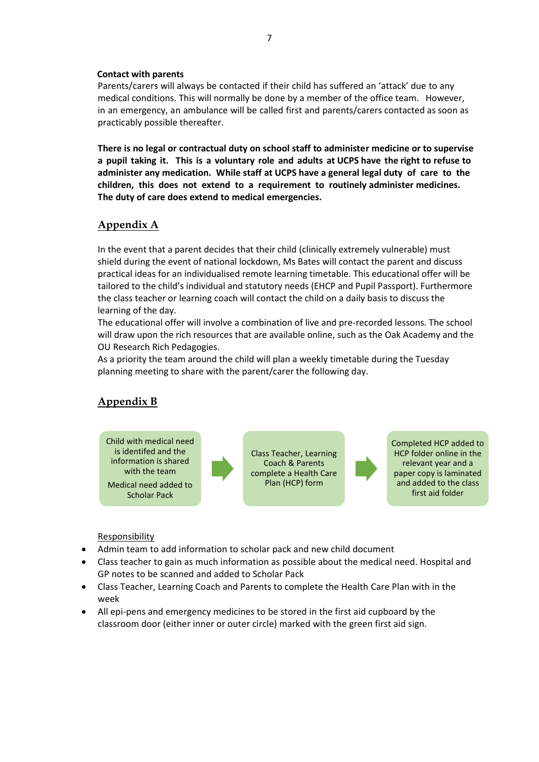#### **Contact with parents**

Parents/carers will always be contacted if their child has suffered an 'attack' due to any medical conditions. This will normally be done by a member of the office team. However, in an emergency, an ambulance will be called first and parents/carers contacted as soon as practicably possible thereafter.

**There is no legal or contractual duty on school staff to administer medicine or to supervise a pupil taking it. This is a voluntary role and adults at UCPS have the right to refuse to administer any medication. While staff at UCPS have a general legal duty of care to the children, this does not extend to a requirement to routinely administer medicines. The duty of care does extend to medical emergencies.**

# **Appendix A**

In the event that a parent decides that their child (clinically extremely vulnerable) must shield during the event of national lockdown, Ms Bates will contact the parent and discuss practical ideas for an individualised remote learning timetable. This educational offer will be tailored to the child's individual and statutory needs (EHCP and Pupil Passport). Furthermore the class teacher or learning coach will contact the child on a daily basis to discuss the learning of the day.

The educational offer will involve a combination of live and pre-recorded lessons. The school will draw upon the rich resources that are available online, such as the Oak Academy and the OU Research Rich Pedagogies.

As a priority the team around the child will plan a weekly timetable during the Tuesday planning meeting to share with the parent/carer the following day.

# **Appendix B**



Class Teacher, Learning Coach & Parents complete a Health Care Plan (HCP) form

Completed HCP added to HCP folder online in the relevant year and a paper copy is laminated and added to the class first aid folder

#### **Responsibility**

- Admin team to add information to scholar pack and new child document
- Class teacher to gain as much information as possible about the medical need. Hospital and GP notes to be scanned and added to Scholar Pack
- Class Teacher, Learning Coach and Parents to complete the Health Care Plan with in the week
- All epi-pens and emergency medicines to be stored in the first aid cupboard by the classroom door (either inner or outer circle) marked with the green first aid sign.